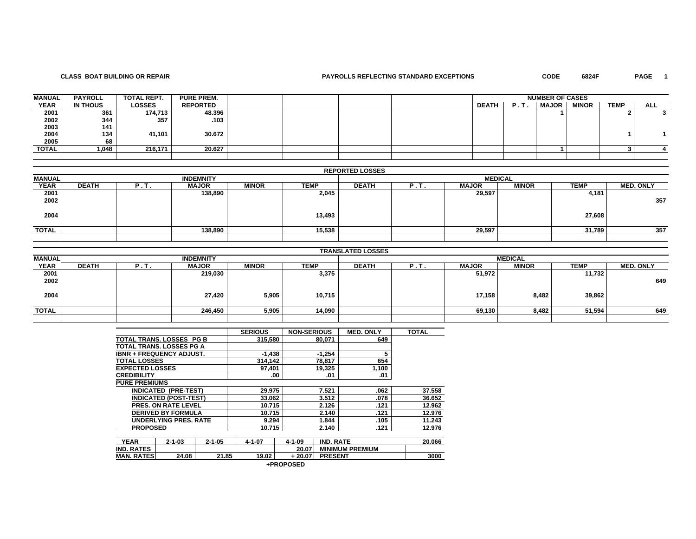## **CLASS BOAT BUILDING OR REPAIR PAYROLLS REFLECTING STANDARD EXCEPTIONS CODE 6824F PAGE 1**

PAGE 1

| <b>MANUAL</b> | <b>PAYROLL</b> | TOTAL REPT.   | <b>PURE PREM.</b> |  |  |              | <b>NUMBER OF CASES</b> |              |              |             |            |
|---------------|----------------|---------------|-------------------|--|--|--------------|------------------------|--------------|--------------|-------------|------------|
| <b>YEAR</b>   | IN THOUS       | <b>LOSSES</b> | <b>REPORTED</b>   |  |  | <b>DEATH</b> | <b>P.I</b>             | <b>MAJOR</b> | <b>MINOR</b> | <b>TEMP</b> | <b>ALL</b> |
| 2001          | 361            | 174,713       | 48.396            |  |  |              |                        |              |              |             |            |
| 2002          | 344            | 357           | .103              |  |  |              |                        |              |              |             |            |
| 2003          | 141            |               |                   |  |  |              |                        |              |              |             |            |
| 2004          | 134            | 41,101        | 30.672            |  |  |              |                        |              |              |             |            |
| 2005          | 68             |               |                   |  |  |              |                        |              |              |             |            |
| TOTAL         | 1.048          | 216.171       | 20.627            |  |  |              |                        |              |              |             |            |
|               |                |               |                   |  |  |              |                        |              |              |             |            |

|               |                                                                                                                                                   |  |                  |  |        | <b>REPORTED LOSSES</b> |  |                  |  |        |     |  |  |
|---------------|---------------------------------------------------------------------------------------------------------------------------------------------------|--|------------------|--|--------|------------------------|--|------------------|--|--------|-----|--|--|
| <b>MANUAL</b> |                                                                                                                                                   |  | <b>INDEMNITY</b> |  |        | <b>MEDICAL</b>         |  |                  |  |        |     |  |  |
| <b>YEAR</b>   | <b>DEATH</b><br><b>MINOR</b><br><b>TEMP</b><br><b>MINOR</b><br><b>MAJOR</b><br><b>DEATH</b><br><b>MAJOR</b><br><b>TEMP</b><br><b>P.T.</b><br>P.T. |  |                  |  |        |                        |  | <b>MED. ONLY</b> |  |        |     |  |  |
| 2001<br>2002  |                                                                                                                                                   |  | 138,890          |  | 2,045  |                        |  | 29,597           |  | 4,181  | 357 |  |  |
| 2004          |                                                                                                                                                   |  |                  |  | 13,493 |                        |  |                  |  | 27,608 |     |  |  |
| <b>TOTAL</b>  |                                                                                                                                                   |  | 138,890          |  | 15,538 |                        |  | 29,597           |  | 31,789 | 357 |  |  |
|               |                                                                                                                                                   |  |                  |  |        |                        |  |                  |  |        |     |  |  |

|               |              |        |                  |              |             | <b>TRANSLATED LOSSES</b> |               |              |                |             |                  |
|---------------|--------------|--------|------------------|--------------|-------------|--------------------------|---------------|--------------|----------------|-------------|------------------|
| <b>MANUAL</b> |              |        | <b>INDEMNITY</b> |              |             |                          |               |              | <b>MEDICAL</b> |             |                  |
| <b>YEAR</b>   | <b>DEATH</b> | .e. 1. | <b>MAJOR</b>     | <b>MINOR</b> | <b>TEMP</b> | <b>DEATH</b>             | $P_{\rm eff}$ | <b>MAJOR</b> | <b>MINOR</b>   | <b>TEMP</b> | <b>MED. ONLY</b> |
| 2001          |              |        | 219,030          |              | 3,375       |                          |               | 51,972       |                | 11,732      |                  |
| 2002          |              |        |                  |              |             |                          |               |              |                |             | 649              |
| 2004          |              |        | 27,420           | 5,905        | 10,715      |                          |               | 17,158       | 8,482          | 39,862      |                  |
| <b>TOTAL</b>  |              |        | 246,450          | 5,905        | 14,090      |                          |               | 69,130       | 8,482          | 51,594      | 649              |
|               |              |        |                  |              |             |                          |               |              |                |             |                  |

|                                 |                              |              | <b>SERIOUS</b> | <b>NON-SERIOUS</b> |                  | <b>MED. ONLY</b>       | <b>TOTAL</b> |
|---------------------------------|------------------------------|--------------|----------------|--------------------|------------------|------------------------|--------------|
| <b>TOTAL TRANS, LOSSES PG B</b> |                              |              | 315.580        |                    | 80,071           | 649                    |              |
| TOTAL TRANS. LOSSES PG A        |                              |              |                |                    |                  |                        |              |
| <b>IBNR + FREQUENCY ADJUST.</b> |                              |              | $-1.438$       |                    | $-1.254$         | 5                      |              |
| <b>TOTAL LOSSES</b>             |                              |              | 314.142        |                    | 78,817           | 654                    |              |
| <b>EXPECTED LOSSES</b>          |                              |              | 97.401         |                    | 19,325           | 1,100                  |              |
| <b>CREDIBILITY</b>              |                              |              |                | .00                | .01              | .01                    |              |
| <b>PURE PREMIUMS</b>            |                              |              |                |                    |                  |                        |              |
| <b>INDICATED</b>                | (PRE-TEST)                   |              | 29.975         |                    | 7.521            | .062                   | 37.558       |
|                                 | <b>INDICATED (POST-TEST)</b> |              | 33.062         |                    | 3.512            | .078                   | 36.652       |
|                                 | <b>PRES. ON RATE LEVEL</b>   |              | 10.715         |                    | 2.126            | .121                   | 12.962       |
|                                 | <b>DERIVED BY FORMULA</b>    |              | 10.715         |                    | 2.140            | .121                   | 12.976       |
|                                 | <b>UNDERLYING PRES. RATE</b> |              | 9.294          |                    | 1.844            | .105                   | 11.243       |
| <b>PROPOSED</b>                 |                              |              | 10.715         |                    | 2.140            | .121                   | 12.976       |
|                                 |                              |              |                |                    |                  |                        |              |
| <b>YEAR</b>                     | $2 - 1 - 03$                 | $2 - 1 - 05$ | $4 - 1 - 07$   | $4 - 1 - 09$       | <b>IND. RATE</b> |                        | 20.066       |
| <b>IND. RATES</b>               |                              |              |                | 20.07              |                  | <b>MINIMUM PREMIUM</b> |              |
| <b>MAN. RATES</b>               | 24.08                        | 21.85        | 19.02          | $+20.07$           | <b>PRESENT</b>   |                        | 3000         |

| +PROPOSED |
|-----------|
|-----------|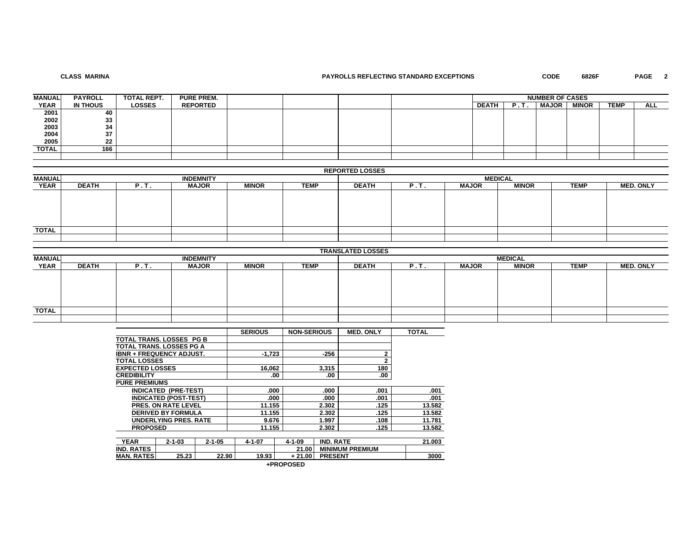# **CLASS MARINA**

# **PAYROLLS REFLECTING STANDARD EXCEPTIONS CODE 6826F PAGE 2**

| <b>MANUAL</b> | <b>PAYROLL</b> | TOTAL REPT.   | <b>PURE PREM.</b> |  |  | <b>NUMBER OF CASES</b> |            |              |              |             |            |
|---------------|----------------|---------------|-------------------|--|--|------------------------|------------|--------------|--------------|-------------|------------|
| <b>YEAR</b>   | IN THOUS       | <b>LOSSES</b> | <b>REPORTED</b>   |  |  | <b>DEATH</b>           | <b>P.)</b> | <b>MAJOR</b> | <b>MINOR</b> | <b>TEMP</b> | <b>ALL</b> |
| 2001          | 40             |               |                   |  |  |                        |            |              |              |             |            |
| 2002          | 33             |               |                   |  |  |                        |            |              |              |             |            |
| 2003          | 34             |               |                   |  |  |                        |            |              |              |             |            |
| 2004          | 37             |               |                   |  |  |                        |            |              |              |             |            |
| 2005          | 22             |               |                   |  |  |                        |            |              |              |             |            |
| TOTAL         | 166            |               |                   |  |  |                        |            |              |              |             |            |
|               |                |               |                   |  |  |                        |            |              |              |             |            |

| <b>REPORTED LOSSES</b> |  |
|------------------------|--|
|------------------------|--|

| <b>MANUAL</b> |              |       | <b>INDEMNITY</b> |              |             | <b>MEDICAL</b> |      |              |              |             |                  |  |  |
|---------------|--------------|-------|------------------|--------------|-------------|----------------|------|--------------|--------------|-------------|------------------|--|--|
| <b>YEAR</b>   | <b>DEATH</b> | '. Т. | <b>MAJOR</b>     | <b>MINOR</b> | <b>TEMP</b> | <b>DEATH</b>   | P.I. | <b>MAJOR</b> | <b>MINOR</b> | <b>TEMP</b> | <b>MED. ONLY</b> |  |  |
|               |              |       |                  |              |             |                |      |              |              |             |                  |  |  |
|               |              |       |                  |              |             |                |      |              |              |             |                  |  |  |
|               |              |       |                  |              |             |                |      |              |              |             |                  |  |  |
|               |              |       |                  |              |             |                |      |              |              |             |                  |  |  |
|               |              |       |                  |              |             |                |      |              |              |             |                  |  |  |
| <b>TOTAL</b>  |              |       |                  |              |             |                |      |              |              |             |                  |  |  |
|               |              |       |                  |              |             |                |      |              |              |             |                  |  |  |

|               |              |      |                  |              |             | <b>TRANSLATED LOSSES</b>                                                                |  |  |  |  |  |  |  |
|---------------|--------------|------|------------------|--------------|-------------|-----------------------------------------------------------------------------------------|--|--|--|--|--|--|--|
| <b>MANUAL</b> |              |      | <b>INDEMNITY</b> |              |             | <b>MEDICAL</b>                                                                          |  |  |  |  |  |  |  |
| <b>YEAR</b>   | <b>DEATH</b> | P.T. | <b>MAJOR</b>     | <b>MINOR</b> | <b>TEMP</b> | <b>TEMP</b><br><b>MED. ONLY</b><br><b>DEATH</b><br><b>MINOR</b><br><b>MAJOR</b><br>P.T. |  |  |  |  |  |  |  |
|               |              |      |                  |              |             |                                                                                         |  |  |  |  |  |  |  |
|               |              |      |                  |              |             |                                                                                         |  |  |  |  |  |  |  |
|               |              |      |                  |              |             |                                                                                         |  |  |  |  |  |  |  |
|               |              |      |                  |              |             |                                                                                         |  |  |  |  |  |  |  |
|               |              |      |                  |              |             |                                                                                         |  |  |  |  |  |  |  |
| <b>TOTAL</b>  |              |      |                  |              |             |                                                                                         |  |  |  |  |  |  |  |
|               |              |      |                  |              |             |                                                                                         |  |  |  |  |  |  |  |

|                                 |                              |              | <b>SERIOUS</b> | <b>NON-SERIOUS</b> |                  | <b>MED. ONLY</b>       | <b>TOTAL</b> |
|---------------------------------|------------------------------|--------------|----------------|--------------------|------------------|------------------------|--------------|
| <b>TOTAL TRANS, LOSSES PG B</b> |                              |              |                |                    |                  |                        |              |
| <b>TOTAL TRANS, LOSSES PG A</b> |                              |              |                |                    |                  |                        |              |
| <b>IBNR + FREQUENCY ADJUST.</b> |                              |              | $-1.723$       |                    | $-256$           | 2                      |              |
| <b>TOTAL LOSSES</b>             |                              |              |                |                    |                  | 2                      |              |
| <b>EXPECTED LOSSES</b>          |                              |              | 16.062         |                    | 3,315            | 180                    |              |
| <b>CREDIBILITY</b>              |                              |              | .00            |                    | .00              | .00                    |              |
| <b>PURE PREMIUMS</b>            |                              |              |                |                    |                  |                        |              |
|                                 | <b>INDICATED (PRE-TEST)</b>  |              | .000           |                    | .000             | .001                   | .001         |
|                                 | <b>INDICATED (POST-TEST)</b> |              | .000           |                    | .000             | .001                   | .001         |
|                                 | <b>PRES. ON RATE LEVEL</b>   |              | 11.155         |                    | 2.302            | .125                   | 13.582       |
|                                 | <b>DERIVED BY FORMULA</b>    |              | 11.155         |                    | 2.302            | .125                   | 13.582       |
|                                 | <b>UNDERLYING PRES, RATE</b> |              | 9.676          |                    | 1.997            | .108                   | 11.781       |
| <b>PROPOSED</b>                 |                              |              | 11.155         |                    | 2.302            | .125                   | 13.582       |
|                                 |                              |              |                |                    |                  |                        |              |
| <b>YEAR</b>                     | $2 - 1 - 03$                 | $2 - 1 - 05$ | 4-1-07         | $4 - 1 - 09$       | <b>IND. RATE</b> |                        | 21.003       |
| <b>IND. RATES</b>               |                              |              |                | 21.00              |                  | <b>MINIMUM PREMIUM</b> |              |
| <b>MAN. RATES</b>               | 25.23                        | 22.90        | 19.93          | $+21.00$           | <b>PRESENT</b>   |                        | 3000         |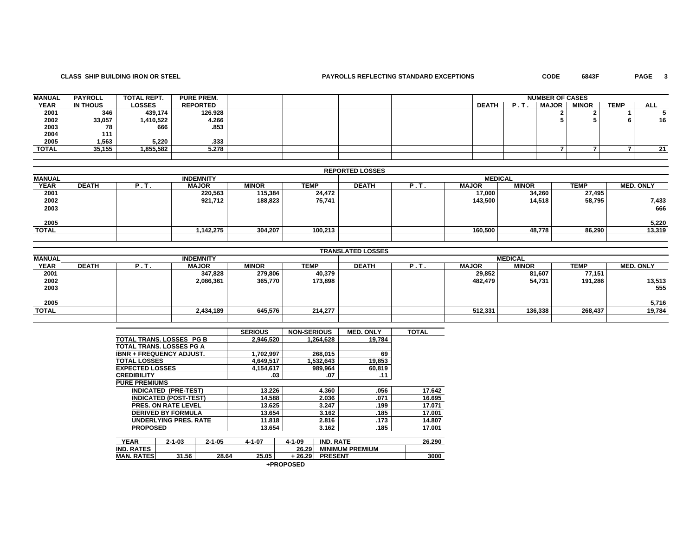# **CLASS SHIP BUILDING IRON OR STEEL PAYROLLS REFLECTING STANDARD EXCEPTIONS CODE 6843F PAGE 3**

PAGE 3

| <b>MANUAL</b> | <b>PAYROLL</b> | TOTAL REPT. | <b>PURE PREM.</b> |  |  |              | <b>NUMBER OF CASES</b> |              |              |             |            |
|---------------|----------------|-------------|-------------------|--|--|--------------|------------------------|--------------|--------------|-------------|------------|
| <b>YEAR</b>   | IN THOUS       | LOSSES      | <b>REPORTED</b>   |  |  | <b>DEATH</b> |                        | <b>MAJOR</b> | <b>MINOR</b> | <b>TEMP</b> | <b>ALL</b> |
| 2001          | 346            | 439,174     | 126.928           |  |  |              |                        |              |              |             |            |
| 2002          | 33,057         | 1,410,522   | 4.266             |  |  |              |                        |              |              |             | 16         |
| 2003          | 78             | 666         | .853              |  |  |              |                        |              |              |             |            |
| 2004          | 111            |             |                   |  |  |              |                        |              |              |             |            |
| 2005          | 1,563          | 5,220       | .333              |  |  |              |                        |              |              |             |            |
| TOTAL         | 35,155         | 1,855,582   | 5.278             |  |  |              |                        |              |              |             | 21         |
|               |                |             |                   |  |  |              |                        |              |              |             |            |

|               |              |      |                  |              |             | <b>REPORTED LOSSES</b> |      |              |              |             |                  |  |
|---------------|--------------|------|------------------|--------------|-------------|------------------------|------|--------------|--------------|-------------|------------------|--|
| <b>MANUAL</b> |              |      | <b>INDEMNITY</b> |              |             | <b>MEDICAL</b>         |      |              |              |             |                  |  |
| <b>YEAR</b>   | <b>DEATH</b> | P.T. | <b>MAJOR</b>     | <b>MINOR</b> | <b>TEMP</b> | <b>DEATH</b>           | P.I. | <b>MAJOR</b> | <b>MINOR</b> | <b>TEMP</b> | <b>MED. ONLY</b> |  |
| 2001          |              |      | 220,563          | 115,384      | 24,472      |                        |      | 17,000       | 34,260       | 27,495      |                  |  |
| 2002          |              |      | 921,712          | 188,823      | 75,741      |                        |      | 143,500      | 14,518       | 58,795      | 7,433            |  |
| 2003          |              |      |                  |              |             |                        |      |              |              |             | 666              |  |
|               |              |      |                  |              |             |                        |      |              |              |             |                  |  |
| 2005          |              |      |                  |              |             |                        |      |              |              |             | 5,220            |  |
| TOTAL         |              |      | 1,142,275        | 304,207      | 100.213     |                        |      | 160,500      | 48.778       | 86,290      | 13,319           |  |
|               |              |      |                  |              |             |                        |      |              |              |             |                  |  |

|              |              |      |                  |              |             | <b>TRANSLATED LOSSES</b> |     |              |                |         |                  |
|--------------|--------------|------|------------------|--------------|-------------|--------------------------|-----|--------------|----------------|---------|------------------|
| MANUAL       |              |      | <b>INDEMNITY</b> |              |             |                          |     |              | <b>MEDICAL</b> |         |                  |
| <b>YEAR</b>  | <b>DEATH</b> | P.T. | <b>MAJOR</b>     | <b>MINOR</b> | <b>TEMP</b> | <b>DEATH</b>             | P.T | <b>MAJOR</b> | <b>MINOR</b>   | TEMP    | <b>MED. ONLY</b> |
| 2001         |              |      | 347,828          | 279,806      | 40,379      |                          |     | 29,852       | 81,607         | 77,151  |                  |
| 2002<br>2003 |              |      | 2,086,361        | 365,770      | 173,898     |                          |     | 482,479      | 54,731         | 191,286 | 13,513           |
|              |              |      |                  |              |             |                          |     |              |                |         | 555              |
|              |              |      |                  |              |             |                          |     |              |                |         |                  |
| 2005         |              |      |                  |              |             |                          |     |              |                |         | 5,716            |
| <b>TOTAL</b> |              |      | 2,434,189        | 645,576      | 214.277     |                          |     | 512,331      | 136,338        | 268,437 | 19,784           |
|              |              |      |                  |              |             |                          |     |              |                |         |                  |

|                                 |                              |              | <b>SERIOUS</b> | <b>NON-SERIOUS</b> |                  | <b>MED. ONLY</b>       | <b>TOTAL</b> |
|---------------------------------|------------------------------|--------------|----------------|--------------------|------------------|------------------------|--------------|
| TOTAL TRANS, LOSSES PG B        |                              |              | 2,946,520      |                    | 1.264.628        | 19.784                 |              |
| TOTAL TRANS, LOSSES PG A        |                              |              |                |                    |                  |                        |              |
| <b>IBNR + FREQUENCY ADJUST.</b> |                              |              | 1,702,997      |                    | 268.015          | 69                     |              |
| <b>TOTAL LOSSES</b>             |                              |              | 4,649,517      |                    | 1,532,643        | 19,853                 |              |
| <b>EXPECTED LOSSES</b>          |                              |              | 4,154,617      |                    | 989,964          | 60,819                 |              |
| <b>CREDIBILITY</b>              |                              |              | .03            |                    | .07              | .11                    |              |
| <b>PURE PREMIUMS</b>            |                              |              |                |                    |                  |                        |              |
|                                 | <b>INDICATED (PRE-TEST)</b>  |              | 13.226         |                    | 4.360            | .056                   | 17.642       |
|                                 | <b>INDICATED (POST-TEST)</b> |              | 14.588         |                    | 2.036            | .071                   | 16.695       |
|                                 | <b>PRES. ON RATE LEVEL</b>   |              | 13.625         |                    | 3.247            | .199                   | 17.071       |
|                                 | <b>DERIVED BY FORMULA</b>    |              | 13.654         |                    | 3.162            | .185                   | 17.001       |
|                                 | <b>UNDERLYING PRES, RATE</b> |              | 11.818         |                    | 2.816            | .173                   | 14.807       |
| <b>PROPOSED</b>                 |                              |              | 13.654         |                    | 3.162            | .185                   | 17.001       |
|                                 |                              |              |                |                    |                  |                        |              |
| <b>YEAR</b>                     | $2 - 1 - 03$                 | $2 - 1 - 05$ | $4 - 1 - 07$   | $4 - 1 - 09$       | <b>IND. RATE</b> |                        | 26.290       |
| <b>IND. RATES</b>               |                              |              |                | 26.29              |                  | <b>MINIMUM PREMIUM</b> |              |
| <b>MAN. RATES</b>               | 31.56                        | 28.64        | 25.05          | + 26.29            | <b>PRESENT</b>   |                        | 3000         |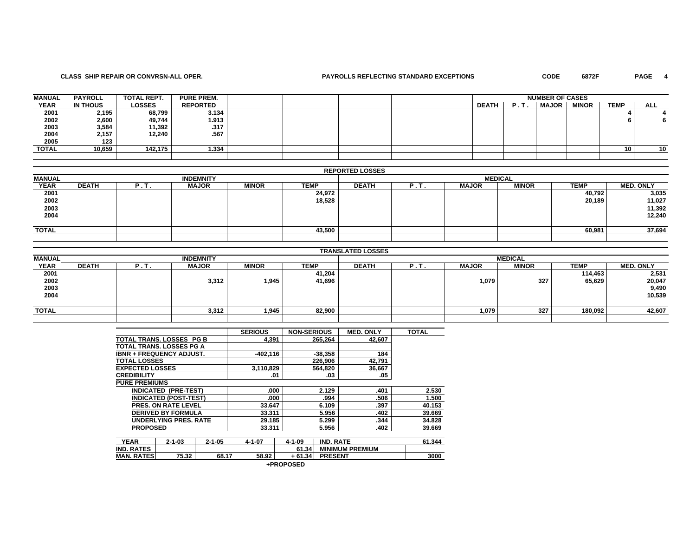### **CLASS SHIP REPAIR OR CONVRSN-ALL OPER. PAYROLLS REFLECTING STANDARD EXCEPTIONS CODE 6872F PAGE 4**

PAGE 4

| <b>MANUAL</b> | <b>PAYROLL</b> | <b>TOTAL REPT.</b> | <b>PURE PREM.</b> |  |  |              |    | <b>NUMBER OF CASES</b> |              |                 |            |
|---------------|----------------|--------------------|-------------------|--|--|--------------|----|------------------------|--------------|-----------------|------------|
| <b>YEAR</b>   | IN THOUS       | <b>LOSSES</b>      | <b>REPORTED</b>   |  |  | <b>DEATH</b> | в. | <b>MAJOR</b>           | <b>MINOR</b> | <b>TEMP</b>     | <b>ALL</b> |
| 2001          | 2,195          | 68,799             | 3.134             |  |  |              |    |                        |              |                 |            |
|               | 2,600          | 49,744             | 1.913             |  |  |              |    |                        |              |                 |            |
| 2002<br>2003  | 3,584          | 11,392             | .317              |  |  |              |    |                        |              |                 |            |
| 2004          | 2,157          | 12.240             | .567              |  |  |              |    |                        |              |                 |            |
| 2005          | 123            |                    |                   |  |  |              |    |                        |              |                 |            |
| TOTAL         | 10,659         | 142,175            | 1.334             |  |  |              |    |                        |              | 10 <sub>1</sub> | 10         |
|               |                |                    |                   |  |  |              |    |                        |              |                 |            |

|               |              |      |                  |              |             | <b>REPORTED LOSSES</b> |      |              |                |             |                  |
|---------------|--------------|------|------------------|--------------|-------------|------------------------|------|--------------|----------------|-------------|------------------|
| <b>MANUAL</b> |              |      | <b>INDEMNITY</b> |              |             |                        |      |              | <b>MEDICAL</b> |             |                  |
| <b>YEAR</b>   | <b>DEATH</b> | P.T. | <b>MAJOR</b>     | <b>MINOR</b> | <b>TEMP</b> | <b>DEATH</b>           | P.T. | <b>MAJOR</b> | <b>MINOR</b>   | <b>TEMP</b> | <b>MED. ONLY</b> |
| 2001          |              |      |                  |              | 24,972      |                        |      |              |                | 40,792      | 3,035            |
| 2002          |              |      |                  |              | 18,528      |                        |      |              |                | 20,189      | 11,027           |
| 2003<br>2004  |              |      |                  |              |             |                        |      |              |                |             | 11,392           |
|               |              |      |                  |              |             |                        |      |              |                |             | 12,240           |
|               |              |      |                  |              |             |                        |      |              |                |             |                  |
| TOTAL         |              |      |                  |              | 43,500      |                        |      |              |                | 60,981      | 37,694           |
|               |              |      |                  |              |             |                        |      |              |                |             |                  |

|               |              |      |                  |              |             | <b>TRANSLATED LOSSES</b> |      |              |                |         |                  |
|---------------|--------------|------|------------------|--------------|-------------|--------------------------|------|--------------|----------------|---------|------------------|
| <b>MANUAL</b> |              |      | <b>INDEMNITY</b> |              |             |                          |      |              | <b>MEDICAL</b> |         |                  |
| <b>YEAR</b>   | <b>DEATH</b> | P.T. | <b>MAJOR</b>     | <b>MINOR</b> | <b>TEMP</b> | <b>DEATH</b>             | Р.Т. | <b>MAJOR</b> | <b>MINOR</b>   | TEMP    | <b>MED. ONLY</b> |
| 2001          |              |      |                  |              | 41,204      |                          |      |              |                | 114,463 | 2,531            |
| 2002          |              |      | 3,312            | 1,945        | 41,696      |                          |      | 1,079        | 327            | 65,629  | 20,047           |
| 2003          |              |      |                  |              |             |                          |      |              |                |         | 9,490            |
| 2004          |              |      |                  |              |             |                          |      |              |                |         | 10,539           |
|               |              |      |                  |              |             |                          |      |              |                |         |                  |
| TOTAL         |              |      | 3,312            | 1,945        | 82,900      |                          |      | 1,079        | 327            | 180,092 | 42,607           |
|               |              |      |                  |              |             |                          |      |              |                |         |                  |

|                                 |                              |              | <b>SERIOUS</b> | <b>NON-SERIOUS</b> |                  | <b>MED. ONLY</b>       | <b>TOTAL</b> |
|---------------------------------|------------------------------|--------------|----------------|--------------------|------------------|------------------------|--------------|
| <b>TOTAL TRANS, LOSSES PG B</b> |                              |              | 4.391          |                    | 265.264          | 42.607                 |              |
|                                 | TOTAL TRANS. LOSSES PG A     |              |                |                    |                  |                        |              |
| <b>IBNR + FREQUENCY ADJUST.</b> |                              |              | $-402.116$     |                    | $-38.358$        | 184                    |              |
| <b>TOTAL LOSSES</b>             |                              |              |                |                    | 226,906          | 42,791                 |              |
| <b>EXPECTED LOSSES</b>          |                              |              | 3,110,829      |                    | 564,820          | 36,667                 |              |
| <b>CREDIBILITY</b>              |                              |              | .01            |                    | .03              | .05                    |              |
| <b>PURE PREMIUMS</b>            |                              |              |                |                    |                  |                        |              |
|                                 | <b>INDICATED (PRE-TEST)</b>  |              | .000           |                    | 2.129            | .401                   | 2.530        |
|                                 | <b>INDICATED (POST-TEST)</b> |              | .000           |                    | .994             | .506                   | 1.500        |
|                                 | <b>PRES. ON RATE LEVEL</b>   |              | 33.647         |                    | 6.109            | .397                   | 40.153       |
|                                 | <b>DERIVED BY FORMULA</b>    |              | 33.311         |                    | 5.956            | .402                   | 39.669       |
|                                 | <b>UNDERLYING PRES, RATE</b> |              | 29.185         |                    | 5.299            | .344                   | 34.828       |
| <b>PROPOSED</b>                 |                              |              | 33.311         |                    | 5.956            | .402                   | 39.669       |
|                                 |                              |              |                |                    |                  |                        |              |
| <b>YEAR</b>                     | $2 - 1 - 03$                 | $2 - 1 - 05$ | $4 - 1 - 07$   | $4 - 1 - 09$       | <b>IND. RATE</b> |                        | 61.344       |
| <b>IND. RATES</b>               |                              |              |                | 61.34              |                  | <b>MINIMUM PREMIUM</b> |              |
| <b>MAN. RATES</b>               | 75.32                        | 68.17        | 58.92          | $+61.34$           | <b>PRESENT</b>   |                        | 3000         |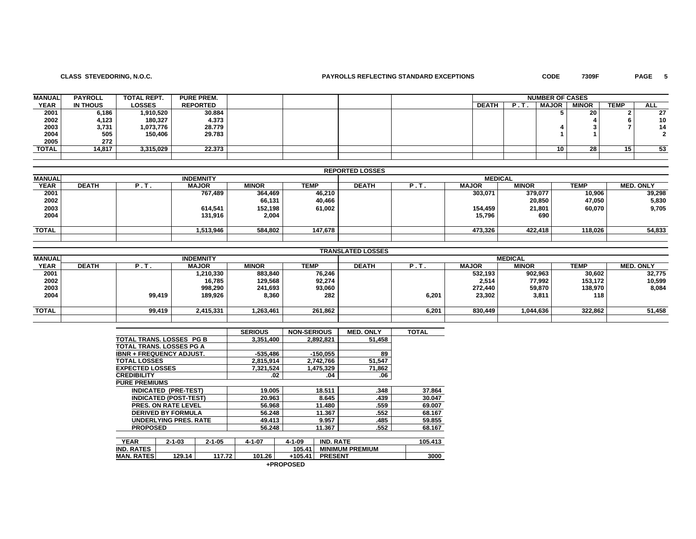## **CLASS STEVEDORING, N.O.C. PAYROLLS REFLECTING STANDARD EXCEPTIONS CODE 7309F PAGE 5**

| <b>MANUAL</b> | <b>PAYROLL</b> | TOTAL REPT.   | <b>PURE PREM.</b> |  |  |              |    | <b>NUMBER OF CASES</b> |              |             |            |
|---------------|----------------|---------------|-------------------|--|--|--------------|----|------------------------|--------------|-------------|------------|
| <b>YEAR</b>   | IN THOUS       | <b>LOSSES</b> | <b>REPORTED</b>   |  |  | <b>DEATH</b> | D. | <b>MAJOR</b>           | <b>MINOR</b> | <b>TEMP</b> | <b>ALL</b> |
| 2001          | 6,186          | 1,910,520     | 30.884            |  |  |              |    |                        | 20           |             | 27         |
| 2002          | 4,123          | 180,327       | 4.373             |  |  |              |    |                        |              |             | 10         |
| 2003          | 3,731          | 1,073,776     | 28.779            |  |  |              |    |                        |              |             | 14         |
| 2004          | 505            | 150,406       | 29.783            |  |  |              |    |                        |              |             |            |
| 2005          | 272            |               |                   |  |  |              |    |                        |              |             |            |
| TOTAL         | 14,817         | 3,315,029     | 22.373            |  |  |              |    | 10                     | 28           | 15          | 53         |
|               |                |               |                   |  |  |              |    |                        |              |             |            |

|               |              |      |                  |              |         | <b>REPORTED LOSSES</b> |                |              |                |             |                  |
|---------------|--------------|------|------------------|--------------|---------|------------------------|----------------|--------------|----------------|-------------|------------------|
| <b>MANUAL</b> |              |      | <b>INDEMNITY</b> |              |         |                        |                |              | <b>MEDICAL</b> |             |                  |
| <b>YEAR</b>   | <b>DEATH</b> | ີ.!. | <b>MAJOR</b>     | <b>MINOR</b> | TEMP    | <b>DEATH</b>           | $P_{\rm{eff}}$ | <b>MAJOR</b> | <b>MINOR</b>   | <b>TEMP</b> | <b>MED. ONLY</b> |
| 2001          |              |      | 767,489          | 364,469      | 46,210  |                        |                | 303,071      | 379,077        | 10,906      | 39,298           |
| 2002          |              |      |                  | 66,131       | 40,466  |                        |                |              | 20,850         | 47,050      | 5,830            |
| 2003          |              |      | 614,541          | 152,198      | 61,002  |                        |                | 154,459      | 21,801         | 60,070      | 9,705            |
| 2004          |              |      | 131.916          | 2,004        |         |                        |                | 15,796       | 690            |             |                  |
|               |              |      |                  |              |         |                        |                |              |                |             |                  |
| <b>TOTAL</b>  |              |      | 1,513,946        | 584,802      | 147,678 |                        |                | 473,326      | 422,418        | 118,026     | 54,833           |
|               |              |      |                  |              |         |                        |                |              |                |             |                  |

|               |              |        |                  |              |         | <b>TRANSLATED LOSSES</b> |       |              |                |         |                  |
|---------------|--------------|--------|------------------|--------------|---------|--------------------------|-------|--------------|----------------|---------|------------------|
| <b>MANUAL</b> |              |        | <b>INDEMNITY</b> |              |         |                          |       |              | <b>MEDICAL</b> |         |                  |
| <b>YEAR</b>   | <b>DEATH</b> | .      | <b>MAJOR</b>     | <b>MINOR</b> | TEMP    | <b>DEATH</b>             | . .   | <b>MAJOR</b> | <b>MINOR</b>   | TEMP    | <b>MED. ONLY</b> |
| 2001          |              |        | 1,210,330        | 883,840      | 76,246  |                          |       | 532.193      | 902,963        | 30,602  | 32,775           |
| 2002<br>2003  |              |        | 16,785           | 129,568      | 92,274  |                          |       | 2,514        | 77,992         | 153,172 | 10,599           |
|               |              |        | 998,290          | 241,693      | 93,060  |                          |       | 272,440      | 59,870         | 138,970 | 8,084            |
| 2004          |              | 99,419 | 189,926          | 8,360        | 282     |                          | 6,201 | 23,302       | 3,811          | 118     |                  |
|               |              |        |                  |              |         |                          |       |              |                |         |                  |
| <b>TOTAL</b>  |              | 99,419 | 2,415,331        | 1,263,461    | 261.862 |                          | 6,201 | 830.449      | 1,044,636      | 322,862 | 51,458           |
|               |              |        |                  |              |         |                          |       |              |                |         |                  |

|                                 |                              |              | <b>SERIOUS</b> | <b>NON-SERIOUS</b> |                  | <b>MED. ONLY</b>       | <b>TOTAL</b> |
|---------------------------------|------------------------------|--------------|----------------|--------------------|------------------|------------------------|--------------|
| TOTAL TRANS, LOSSES PG B        |                              |              | 3.351.400      |                    | 2.892.821        | 51.458                 |              |
| TOTAL TRANS. LOSSES PG A        |                              |              |                |                    |                  |                        |              |
| <b>IBNR + FREQUENCY ADJUST.</b> |                              |              | $-535.486$     |                    | $-150.055$       | 89                     |              |
| <b>TOTAL LOSSES</b>             |                              |              | 2,815,914      |                    | 2,742,766        | 51,547                 |              |
| <b>EXPECTED LOSSES</b>          |                              |              | 7,321,524      |                    | 1,475,329        | 71,862                 |              |
| <b>CREDIBILITY</b>              |                              |              | .02            |                    | .04              | .06                    |              |
| <b>PURE PREMIUMS</b>            |                              |              |                |                    |                  |                        |              |
|                                 | <b>INDICATED (PRE-TEST)</b>  |              | 19.005         |                    | 18.511           | .348                   | 37.864       |
|                                 | <b>INDICATED (POST-TEST)</b> |              | 20.963         |                    | 8.645            | .439                   | 30.047       |
|                                 | <b>PRES. ON RATE LEVEL</b>   |              | 56.968         |                    | 11.480           | .559                   | 69.007       |
|                                 | <b>DERIVED BY FORMULA</b>    |              | 56.248         |                    | 11.367           | .552                   | 68.167       |
|                                 | <b>UNDERLYING PRES. RATE</b> |              | 49.413         |                    | 9.957            | .485                   | 59.855       |
| <b>PROPOSED</b>                 |                              |              | 56.248         |                    | 11.367           | .552                   | 68.167       |
|                                 |                              |              |                |                    |                  |                        |              |
| <b>YEAR</b>                     | $2 - 1 - 03$                 | $2 - 1 - 05$ | $4 - 1 - 07$   | $4 - 1 - 09$       | <b>IND. RATE</b> |                        | 105.413      |
| <b>IND. RATES</b>               |                              |              |                | 105.41             |                  | <b>MINIMUM PREMIUM</b> |              |
| <b>MAN. RATES</b>               | 129.14                       | 117.72       | 101.26         | $+105.41$          | <b>PRESENT</b>   |                        | 3000         |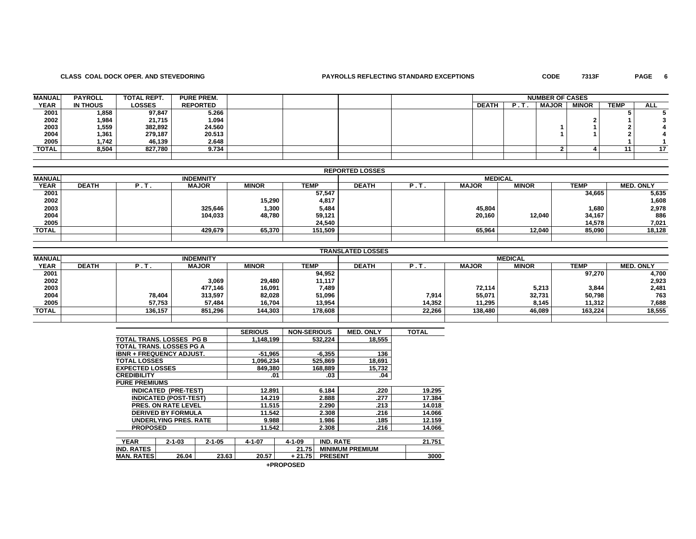### **CLASS COAL DOCK OPER. AND STEVEDORING PAYROLLS REFLECTING STANDARD EXCEPTIONS CODE 7313F PAGE 6**

PAGE 6

| <b>MANUAL</b> | <b>PAYROLL</b>  | <b>TOTAL REPT.</b> | <b>PURE PREM.</b> |  |  |              |     | <b>NUMBER OF CASES</b> |              |             |            |
|---------------|-----------------|--------------------|-------------------|--|--|--------------|-----|------------------------|--------------|-------------|------------|
| <b>YEAR</b>   | <b>IN THOUS</b> | <b>LOSSES</b>      | <b>REPORTED</b>   |  |  | <b>DEATH</b> | . . | <b>MAJOR</b>           | <b>MINOR</b> | <b>TEMP</b> | <b>ALL</b> |
| 2001          | 1,858           | 97,847             | 5.266             |  |  |              |     |                        |              |             |            |
| 2002          | 1,984           | 21,715             | 1.094             |  |  |              |     |                        |              |             |            |
| 2003          | 1,559           | 382,892            | 24.560            |  |  |              |     |                        |              |             |            |
| 2004          | 1,361           | 279,187            | 20.513            |  |  |              |     |                        |              |             |            |
| 2005          | 1,742           | 46.139             | 2.648             |  |  |              |     |                        |              |             |            |
| TOTAL         | 8,504           | 827,780            | 9.734             |  |  |              |     |                        |              |             |            |
|               |                 |                    |                   |  |  |              |     |                        |              |             |            |

|               |              |   |                  |              |         | <b>REPORTED LOSSES</b> |   |              |                |             |                  |
|---------------|--------------|---|------------------|--------------|---------|------------------------|---|--------------|----------------|-------------|------------------|
| <b>MANUAL</b> |              |   | <b>INDEMNITY</b> |              |         |                        |   |              | <b>MEDICAL</b> |             |                  |
| <b>YEAR</b>   | <b>DEATH</b> | . | <b>MAJOR</b>     | <b>MINOR</b> | TEMP    | <b>DEATH</b>           | , | <b>MAJOR</b> | <b>MINOR</b>   | <b>TEMP</b> | <b>MED. ONLY</b> |
| 2001          |              |   |                  |              | 57,547  |                        |   |              |                | 34,665      | 5,635            |
| 2002          |              |   |                  | 15,290       | 4,817   |                        |   |              |                |             | 1,608            |
| 2003          |              |   | 325,646          | 1,300        | 5,484   |                        |   | 45,804       |                | 1,680       | 2,978            |
| 2004          |              |   | 104,033          | 48.780       | 59,121  |                        |   | 20,160       | 12.040         | 34,167      | 886              |
| 2005          |              |   |                  |              | 24,540  |                        |   |              |                | 14,578      | 7,021            |
| <b>TOTAL</b>  |              |   | 429,679          | 65,370       | 151,509 |                        |   | 65,964       | 12,040         | 85,090      | 18,128           |
|               |              |   |                  |              |         |                        |   |              |                |             |                  |

|               |              |         |                  |              |         | <b>TRANSLATED LOSSES</b> |        |              |                |         |                  |
|---------------|--------------|---------|------------------|--------------|---------|--------------------------|--------|--------------|----------------|---------|------------------|
| <b>MANUAL</b> |              |         | <b>INDEMNITY</b> |              |         |                          |        |              | <b>MEDICAL</b> |         |                  |
| <b>YEAR</b>   | <b>DEATH</b> |         | <b>MAJOR</b>     | <b>MINOR</b> | TEMP    | <b>DEATH</b>             |        | <b>MAJOR</b> | <b>MINOR</b>   | TEMP    | <b>MED. ONLY</b> |
| 2001          |              |         |                  |              | 94,952  |                          |        |              |                | 97,270  | 4,700            |
| 2002<br>2003  |              |         | 3,069            | 29,480       | 11,117  |                          |        |              |                |         | 2,923            |
|               |              |         | 477,146          | 16,091       | 7,489   |                          |        | 72,114       | 5,213          | 3,844   | 2,481            |
| 2004          |              | 78,404  | 313,597          | 82,028       | 51,096  |                          | 7,914  | 55,071       | 32,731         | 50,798  | 763              |
| 2005          |              | 57,753  | 57,484           | 16,704       | 13,954  |                          | 14,352 | 11.295       | 8,145          | 11,312  | 7,688            |
| <b>TOTAL</b>  |              | 136.157 | 851,296          | 144,303      | 178,608 |                          | 22,266 | 138,480      | 46,089         | 163.224 | 18,555           |
|               |              |         |                  |              |         |                          |        |              |                |         |                  |

|                        |                                 |              | <b>SERIOUS</b> | <b>NON-SERIOUS</b> |                  | <b>MED. ONLY</b>       | <b>TOTAL</b> |
|------------------------|---------------------------------|--------------|----------------|--------------------|------------------|------------------------|--------------|
|                        | TOTAL TRANS, LOSSES PG B        |              | 1,148,199      |                    | 532.224          | 18,555                 |              |
|                        | TOTAL TRANS. LOSSES PG A        |              |                |                    |                  |                        |              |
|                        | <b>IBNR + FREQUENCY ADJUST.</b> |              | $-51.965$      |                    | $-6,355$         | 136                    |              |
| <b>TOTAL LOSSES</b>    |                                 |              | 1.096.234      |                    | 525,869          | 18,691                 |              |
| <b>EXPECTED LOSSES</b> |                                 |              | 849,380        |                    | 168,889          | 15,732                 |              |
| <b>CREDIBILITY</b>     |                                 |              | .01            |                    | .03              | .04                    |              |
| <b>PURE PREMIUMS</b>   |                                 |              |                |                    |                  |                        |              |
|                        | <b>INDICATED (PRE-TEST)</b>     |              | 12.891         |                    | 6.184            | .220                   | 19.295       |
|                        | <b>INDICATED (POST-TEST)</b>    |              | 14.219         |                    | 2.888            | .277                   | 17.384       |
|                        | <b>PRES. ON RATE LEVEL</b>      |              | 11.515         |                    | 2.290            | .213                   | 14.018       |
|                        | <b>DERIVED BY FORMULA</b>       |              | 11.542         |                    | 2.308            | .216                   | 14.066       |
|                        | <b>UNDERLYING PRES, RATE</b>    |              | 9.988          |                    | 1.986            | .185                   | 12.159       |
| <b>PROPOSED</b>        |                                 |              | 11.542         |                    | 2.308            | .216                   | 14.066       |
|                        |                                 |              |                |                    |                  |                        |              |
| <b>YEAR</b>            | $2 - 1 - 03$                    | $2 - 1 - 05$ | $4 - 1 - 07$   | $4 - 1 - 09$       | <b>IND. RATE</b> |                        | 21.751       |
| <b>IND. RATES</b>      |                                 |              |                | 21.75              |                  | <b>MINIMUM PREMIUM</b> |              |
| <b>MAN. RATES</b>      | 26.04                           | 23.63        | 20.57          | $+21.75$           | <b>PRESENT</b>   |                        | 3000         |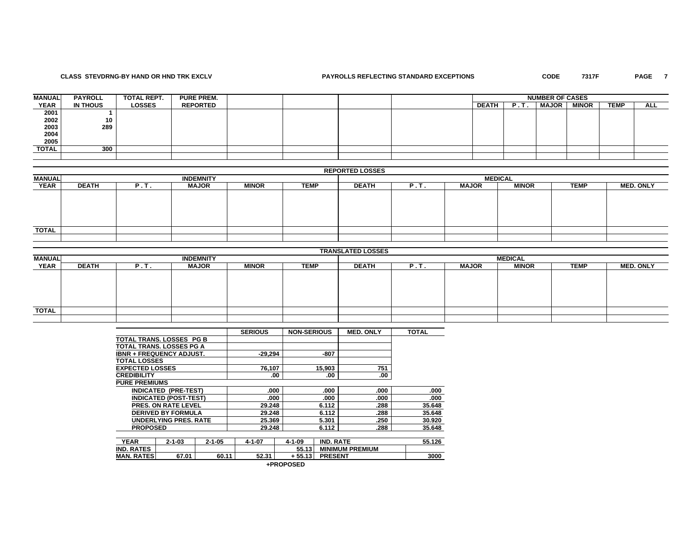# **CLASS STEVDRNG-BY HAND OR HND TRK EXCLV PAYROLLS REFLECTING STANDARD EXCEPTIONS CODE 7317F PAGE 7**

PAGE 7

| <b>MANUAL</b> | <b>PAYROLL</b> | <b>TOTAL REPT.</b> | <b>PURE PREM.</b> |  |  |              |                | <b>NUMBER OF CASES</b> |              |             |     |
|---------------|----------------|--------------------|-------------------|--|--|--------------|----------------|------------------------|--------------|-------------|-----|
| <b>YEAR</b>   | IN THOUS       | <b>LOSSES</b>      | <b>REPORTED</b>   |  |  | <b>DEATH</b> | $P_{\rm{eff}}$ | <b>MAJOR</b>           | <b>MINOR</b> | <b>TEMP</b> | ALL |
| 2001          |                |                    |                   |  |  |              |                |                        |              |             |     |
|               | 10             |                    |                   |  |  |              |                |                        |              |             |     |
| 2002<br>2003  | 289            |                    |                   |  |  |              |                |                        |              |             |     |
| 2004          |                |                    |                   |  |  |              |                |                        |              |             |     |
| 2005          |                |                    |                   |  |  |              |                |                        |              |             |     |
| TOTAL         | 300            |                    |                   |  |  |              |                |                        |              |             |     |
|               |                |                    |                   |  |  |              |                |                        |              |             |     |

### **REPORTED LOSSES**

| <b>MANUAL</b> |              |      | <b>INDEMNITY</b> |              |             | <b>MEDICAL</b> |      |              |              |             |                  |  |
|---------------|--------------|------|------------------|--------------|-------------|----------------|------|--------------|--------------|-------------|------------------|--|
| <b>YEAR</b>   | <b>DEATH</b> | P.T. | <b>MAJOR</b>     | <b>MINOR</b> | <b>TEMP</b> | <b>DEATH</b>   | P.T. | <b>MAJOR</b> | <b>MINOR</b> | <b>TEMP</b> | <b>MED. ONLY</b> |  |
|               |              |      |                  |              |             |                |      |              |              |             |                  |  |
|               |              |      |                  |              |             |                |      |              |              |             |                  |  |
|               |              |      |                  |              |             |                |      |              |              |             |                  |  |
|               |              |      |                  |              |             |                |      |              |              |             |                  |  |
|               |              |      |                  |              |             |                |      |              |              |             |                  |  |
| <b>TOTAL</b>  |              |      |                  |              |             |                |      |              |              |             |                  |  |
|               |              |      |                  |              |             |                |      |              |              |             |                  |  |

|               |              |      |                  |              |             | <b>TRANSLATED LOSSES</b> |      |              |                |             |                  |
|---------------|--------------|------|------------------|--------------|-------------|--------------------------|------|--------------|----------------|-------------|------------------|
| <b>MANUAL</b> |              |      | <b>INDEMNITY</b> |              |             |                          |      |              | <b>MEDICAL</b> |             |                  |
| <b>YEAR</b>   | <b>DEATH</b> | P.T. | <b>MAJOR</b>     | <b>MINOR</b> | <b>TEMP</b> | <b>DEATH</b>             | P.T. | <b>MAJOR</b> | <b>MINOR</b>   | <b>TEMP</b> | <b>MED. ONLY</b> |
|               |              |      |                  |              |             |                          |      |              |                |             |                  |
|               |              |      |                  |              |             |                          |      |              |                |             |                  |
|               |              |      |                  |              |             |                          |      |              |                |             |                  |
|               |              |      |                  |              |             |                          |      |              |                |             |                  |
|               |              |      |                  |              |             |                          |      |              |                |             |                  |
| <b>TOTAL</b>  |              |      |                  |              |             |                          |      |              |                |             |                  |
|               |              |      |                  |              |             |                          |      |              |                |             |                  |

|                                 |                              |              | <b>SERIOUS</b> | <b>NON-SERIOUS</b> |                  | <b>MED. ONLY</b>       | <b>TOTAL</b> |
|---------------------------------|------------------------------|--------------|----------------|--------------------|------------------|------------------------|--------------|
| TOTAL TRANS. LOSSES PG B        |                              |              |                |                    |                  |                        |              |
| TOTAL TRANS, LOSSES PG A        |                              |              |                |                    |                  |                        |              |
| <b>IBNR + FREQUENCY ADJUST.</b> |                              |              | $-29.294$      |                    | -807             |                        |              |
| <b>TOTAL LOSSES</b>             |                              |              |                |                    |                  |                        |              |
| <b>EXPECTED LOSSES</b>          |                              |              | 76,107         |                    | 15,903           | 751                    |              |
| <b>CREDIBILITY</b>              |                              |              |                | .00                | .00              | .00                    |              |
| <b>PURE PREMIUMS</b>            |                              |              |                |                    |                  |                        |              |
|                                 | <b>INDICATED (PRE-TEST)</b>  |              | .000           |                    | .000             | .000                   | .000         |
|                                 | <b>INDICATED (POST-TEST)</b> |              | .000           |                    | .000             | .000                   | .000         |
|                                 | <b>PRES. ON RATE LEVEL</b>   |              | 29.248         |                    | 6.112            | .288                   | 35.648       |
|                                 | <b>DERIVED BY FORMULA</b>    |              | 29.248         |                    | 6.112            | .288                   | 35.648       |
|                                 | <b>UNDERLYING PRES, RATE</b> |              | 25.369         |                    | 5.301            | .250                   | 30.920       |
| <b>PROPOSED</b>                 |                              |              | 29.248         |                    | 6.112            | .288                   | 35.648       |
|                                 |                              |              |                |                    |                  |                        |              |
| <b>YEAR</b>                     | $2 - 1 - 03$                 | $2 - 1 - 05$ | $4 - 1 - 07$   | $4 - 1 - 09$       | <b>IND. RATE</b> |                        | 55.126       |
| <b>IND. RATES</b>               |                              |              |                | 55.13              |                  | <b>MINIMUM PREMIUM</b> |              |
| <b>MAN. RATESI</b>              | 67.01                        | 60.11        | 52.31          | + 55.13            | <b>PRESENT</b>   |                        | 3000         |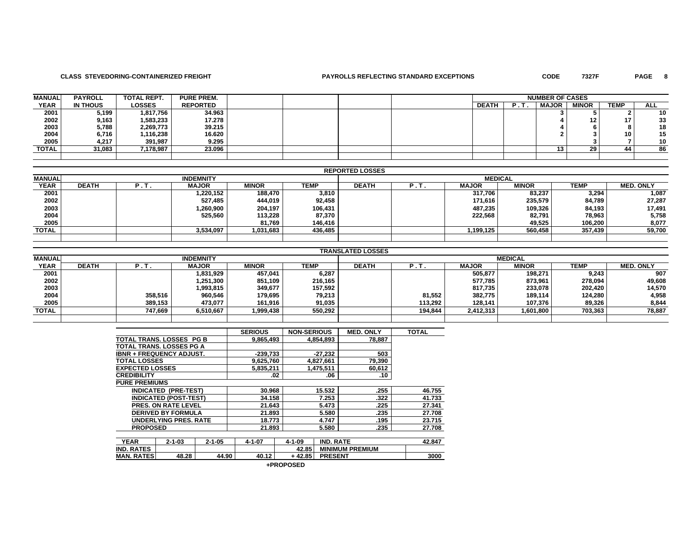# **CLASS STEVEDORING-CONTAINERIZED FREIGHT PAYROLLS REFLECTING STANDARD EXCEPTIONS CODE 7327F PAGE 8**

PAGE 8

| <b>MANUAL</b> | <b>PAYROLL</b>  | TOTAL REPT.   | <b>PURE PREM.</b> |  |  | <b>NUMBER OF CASES</b> |  |              |                 |             |     |
|---------------|-----------------|---------------|-------------------|--|--|------------------------|--|--------------|-----------------|-------------|-----|
| <b>YEAR</b>   | <b>IN THOUS</b> | <b>LOSSES</b> | <b>REPORTED</b>   |  |  | <b>DEATH</b>           |  | <b>MAJOR</b> | <b>MINOR</b>    | <b>TEMP</b> | ALL |
| 2001          | 5,199           | 1,817,756     | 34.963            |  |  |                        |  |              |                 |             | 10  |
| 2002          | 9,163           | 1,583,233     | 17.278            |  |  |                        |  |              | 12 <sub>1</sub> |             | 33  |
| 2003          | 5,788           | 2,269,773     | 39.215            |  |  |                        |  |              |                 |             | 18  |
| 2004          | 6,716           | 1,116,238     | 16.620            |  |  |                        |  |              |                 | 10          | 15  |
| 2005          | 4,217           | 391,987       | 9.295             |  |  |                        |  |              |                 |             | 10  |
| <b>TOTAL</b>  | 31.083          | 7.178.987     | 23.096            |  |  |                        |  | 13           | 29              | 44          | 86  |
|               |                 |               |                   |  |  |                        |  |              |                 |             |     |

|               |              |      |                  |              |             | <b>REPORTED LOSSES</b> |             |              |                |             |                  |
|---------------|--------------|------|------------------|--------------|-------------|------------------------|-------------|--------------|----------------|-------------|------------------|
| <b>MANUAL</b> |              |      | <b>INDEMNITY</b> |              |             |                        |             |              | <b>MEDICAL</b> |             |                  |
| <b>YEAR</b>   | <b>DEATH</b> | P.T. | <b>MAJOR</b>     | <b>MINOR</b> | <b>TEMP</b> | <b>DEATH</b>           | <b>P.T.</b> | <b>MAJOR</b> | <b>MINOR</b>   | <b>TEMP</b> | <b>MED. ONLY</b> |
| 2001          |              |      | 1,220,152        | 188,470      | 3,810       |                        |             | 317.706      | 83.237         | 3,294       | 1,087            |
| 2002          |              |      | 527.485          | 444,019      | 92,458      |                        |             | 171.616      | 235,579        | 84,789      | 27,287           |
| 2003          |              |      | 900,000. ا       | 204,197      | 106,431     |                        |             | 487.235      | 109,326        | 84,193      | 17,491           |
| 2004          |              |      | 525.560          | 113,228      | 87,370      |                        |             | 222.568      | 82,791         | 78,963      | 5,758            |
| 2005          |              |      |                  | 81,769       | 146.416     |                        |             |              | 49,525         | 106.200     | 8,077            |
| <b>TOTAL</b>  |              |      | 3,534,097        | 1,031,683    | 436,485     |                        |             | 1,199,125    | 560,458        | 357.439     | 59,700           |
|               |              |      |                  |              |             |                        |             |              |                |             |                  |

|               |              |         |                  |              |         | <b>TRANSLATED LOSSES</b> |         |              |                |         |                  |
|---------------|--------------|---------|------------------|--------------|---------|--------------------------|---------|--------------|----------------|---------|------------------|
| <b>MANUAL</b> |              |         | <b>INDEMNITY</b> |              |         |                          |         |              | <b>MEDICAL</b> |         |                  |
| <b>YEAR</b>   | <b>DEATH</b> | -       | <b>MAJOR</b>     | <b>MINOR</b> | TEMP    | <b>DEATH</b>             |         | <b>MAJOR</b> | <b>MINOR</b>   | TEMP    | <b>MED. ONLY</b> |
| 2001          |              |         | 1,831,929        | 457.041      | 6,287   |                          |         | 505,877      | 198.271        | 9,243   | 907              |
| 2002          |              |         | 1,251,300        | 851,109      | 216,165 |                          |         | 577,785      | 873,961        | 278,094 | 49,608           |
| 2003          |              |         | 1,993,815        | 349.677      | 157,592 |                          |         | 817.735      | 233,078        | 202,420 | 14,570           |
| 2004          |              | 358.516 | 960,546          | 179,695      | 79,213  |                          | 81,552  | 382,775      | 189.114        | 124,280 | 4,958            |
| 2005          |              | 389,153 | 473,077          | 161,916      | 91,035  |                          | 113.292 | 128,141      | 107,376        | 89,326  | 8,844            |
| <b>TOTAL</b>  |              | 747.669 | 6,510,667        | 1,999,438    | 550,292 |                          | 194.844 | 2,412,313    | 1,601,800      | 703,363 | 78.887           |
|               |              |         |                  |              |         |                          |         |              |                |         |                  |

|                        |                                 |              | <b>SERIOUS</b> | <b>NON-SERIOUS</b> |                  | <b>MED. ONLY</b>       | <b>TOTAL</b> |
|------------------------|---------------------------------|--------------|----------------|--------------------|------------------|------------------------|--------------|
|                        | <b>TOTAL TRANS, LOSSES PG B</b> |              | 9,865,493      |                    | 4,854,893        | 78,887                 |              |
|                        | <b>TOTAL TRANS, LOSSES PG A</b> |              |                |                    |                  |                        |              |
|                        | <b>IBNR + FREQUENCY ADJUST.</b> |              | $-239,733$     |                    | $-27.232$        | 503                    |              |
| <b>TOTAL LOSSES</b>    |                                 |              | 9,625,760      |                    | 4,827,661        | 79,390                 |              |
| <b>EXPECTED LOSSES</b> |                                 |              | 5,835,211      |                    | 1,475,511        | 60,612                 |              |
| <b>CREDIBILITY</b>     |                                 |              | .02            |                    | .06              | .10                    |              |
| <b>PURE PREMIUMS</b>   |                                 |              |                |                    |                  |                        |              |
|                        | <b>INDICATED (PRE-TEST)</b>     |              | 30.968         |                    | 15.532           | .255                   | 46.755       |
|                        | <b>INDICATED (POST-TEST)</b>    |              | 34.158         |                    | 7.253            | .322                   | 41.733       |
|                        | <b>PRES. ON RATE LEVEL</b>      |              | 21.643         |                    | 5.473            | .225                   | 27.341       |
|                        | <b>DERIVED BY FORMULA</b>       |              | 21.893         |                    | 5.580            | .235                   | 27.708       |
|                        | <b>UNDERLYING PRES, RATE</b>    |              | 18.773         |                    | 4.747            | .195                   | 23.715       |
| <b>PROPOSED</b>        |                                 |              | 21.893         |                    | 5.580            | .235                   | 27.708       |
|                        |                                 |              |                |                    |                  |                        |              |
| <b>YEAR</b>            | $2 - 1 - 03$                    | $2 - 1 - 05$ | $4 - 1 - 07$   | $4 - 1 - 09$       | <b>IND. RATE</b> |                        | 42.847       |
| <b>IND. RATES</b>      |                                 |              |                | 42.85              |                  | <b>MINIMUM PREMIUM</b> |              |
| <b>MAN. RATES</b>      | 48.28                           | 44.90        | 40.12          | $+42.85$           | <b>PRESENT</b>   |                        | 3000         |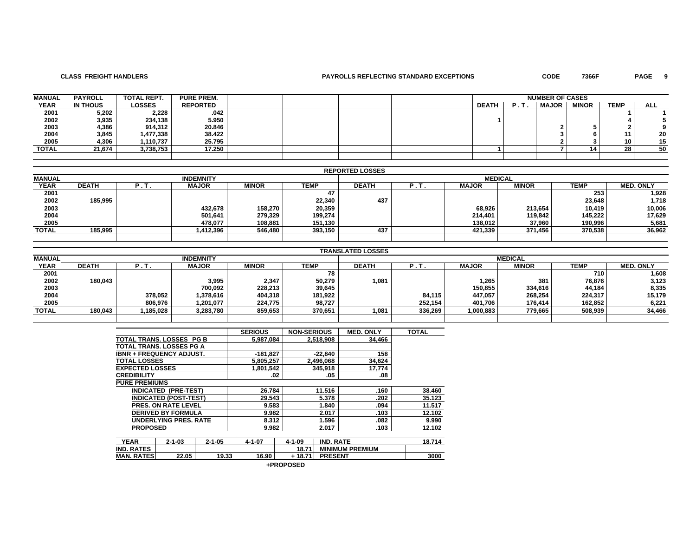## **CLASS FREIGHT HANDLERS PAYROLLS REFLECTING STANDARD EXCEPTIONS CODE 7366F PAGE 9**

PAGE 9

| <b>MANUAL</b> | <b>PAYROLL</b> | <b>TOTAL REPT.</b> | <b>PURE PREM.</b> |  |  |              |    | <b>NUMBER OF CASES</b> |              |             |            |
|---------------|----------------|--------------------|-------------------|--|--|--------------|----|------------------------|--------------|-------------|------------|
| <b>YEAR</b>   | IN THOUS       | <b>LOSSES</b>      | <b>REPORTED</b>   |  |  | <b>DEATH</b> | в. | <b>MAJOR</b>           | <b>MINOR</b> | <b>TEMP</b> | <b>ALL</b> |
| 2001          | 5,202          | 2,228              | .042              |  |  |              |    |                        |              |             |            |
| 2002          | 3,935          | 234,138            | 5.950             |  |  |              |    |                        |              |             |            |
| 2003          | 4,386          | 914,312            | 20.846            |  |  |              |    |                        |              |             |            |
| 2004          | 3,845          | 1,477,338          | 38.422            |  |  |              |    |                        |              |             | 20         |
| 2005          | 4.306          | 1.110.737          | 25.795            |  |  |              |    |                        |              | 10          | 15         |
| TOTAL         | 21,674         | 3,738,753          | 17.250            |  |  |              |    |                        | 14           | 28          | 50         |
|               |                |                    |                   |  |  |              |    |                        |              |             |            |

|               |              |      |                  |              |         | <b>REPORTED LOSSES</b> |      |              |                |         |                  |
|---------------|--------------|------|------------------|--------------|---------|------------------------|------|--------------|----------------|---------|------------------|
| <b>MANUAL</b> |              |      | <b>INDEMNITY</b> |              |         |                        |      |              | <b>MEDICAL</b> |         |                  |
| <b>YEAR</b>   | <b>DEATH</b> | P.T. | <b>MAJOR</b>     | <b>MINOR</b> | TEMP    | <b>DEATH</b>           | P.T. | <b>MAJOR</b> | <b>MINOR</b>   | TEMP    | <b>MED. ONLY</b> |
| 2001          |              |      |                  |              |         |                        |      |              |                | 253     | 1,928            |
| 2002          | 185.995      |      |                  |              | 22,340  | 437                    |      |              |                | 23,648  | 1,718            |
| 2003          |              |      | 432,678          | 158,270      | 20,359  |                        |      | 68,926       | 213,654        | 10,419  | 10,006           |
| 2004          |              |      | 501,641          | 279,329      | 199,274 |                        |      | 214,401      | 119,842        | 145,222 | 17,629           |
| 2005          |              |      | 478.077          | 108,881      | 151,130 |                        |      | 138.012      | 37,960         | 190.996 | 5,681            |
| TOTAL         | 185.995      |      | 1,412,396        | 546,480      | 393,150 | 437                    |      | 421,339      | 371,456        | 370.538 | 36,962           |
|               |              |      |                  |              |         |                        |      |              |                |         |                  |

|               | <b>TRANSLATED LOSSES</b> |          |                  |              |         |                |         |              |         |             |                  |  |
|---------------|--------------------------|----------|------------------|--------------|---------|----------------|---------|--------------|---------|-------------|------------------|--|
| <b>MANUAL</b> |                          |          | <b>INDEMNITY</b> |              |         | <b>MEDICAL</b> |         |              |         |             |                  |  |
| <b>YEAR</b>   | <b>DEATH</b>             | . . I    | <b>MAJOR</b>     | <b>MINOR</b> | TEMP    | <b>DEATH</b>   |         | <b>MAJOR</b> | MINOR   | <b>TEMP</b> | <b>MED. ONLY</b> |  |
| 2001          |                          |          |                  |              | 78      |                |         |              |         | 710         | 1,608            |  |
| 2002          | 180,043                  |          | 3,995            | 2,347        | 50,279  | 1,081          |         | 1,265        | 381     | 76,876      | 3,123            |  |
| 2003          |                          |          | 700,092          | 228.213      | 39,645  |                |         | 150,855      | 334.616 | 44.184      | 8,335            |  |
| 2004          |                          | 378.052  | 1,378,616        | 404.318      | 181,922 |                | 84,115  | 447,057      | 268.254 | 224.317     | 15,179           |  |
| 2005          |                          | 806,976  | 1,201,077        | 224,775      | 98,727  |                | 252,154 | 401,706      | 176,414 | 162.852     | 6,221            |  |
| <b>TOTAL</b>  | 180.043                  | .185.028 | 3,283,780        | 859,653      | 370,651 | 1,081          | 336.269 | 1,000,883    | 779,665 | 508,939     | 34,466           |  |
|               |                          |          |                  |              |         |                |         |              |         |             |                  |  |

|                        |                                 |              | <b>SERIOUS</b> | <b>NON-SERIOUS</b> |                  | <b>MED. ONLY</b>       | <b>TOTAL</b> |
|------------------------|---------------------------------|--------------|----------------|--------------------|------------------|------------------------|--------------|
|                        | TOTAL TRANS, LOSSES PG B        |              | 5,987,084      |                    | 2,518,908        | 34,466                 |              |
|                        | TOTAL TRANS. LOSSES PG A        |              |                |                    |                  |                        |              |
|                        | <b>IBNR + FREQUENCY ADJUST.</b> |              | $-181,827$     |                    | $-22.840$        | 158                    |              |
| <b>TOTAL LOSSES</b>    |                                 |              | 5,805,257      |                    | 2,496,068        | 34,624                 |              |
| <b>EXPECTED LOSSES</b> |                                 |              | 1,801,542      |                    | 345,918          | 17,774                 |              |
| <b>CREDIBILITY</b>     |                                 |              | .02            |                    | .05              | .08                    |              |
| <b>PURE PREMIUMS</b>   |                                 |              |                |                    |                  |                        |              |
|                        | <b>INDICATED (PRE-TEST)</b>     |              | 26.784         |                    | 11.516           | .160                   | 38.460       |
|                        | <b>INDICATED (POST-TEST)</b>    |              | 29.543         |                    | 5.378            | .202                   | 35.123       |
|                        | <b>PRES. ON RATE LEVEL</b>      |              | 9.583          |                    | 1.840            | .094                   | 11.517       |
|                        | <b>DERIVED BY FORMULA</b>       |              | 9.982          |                    | 2.017            | .103                   | 12.102       |
|                        | <b>UNDERLYING PRES, RATE</b>    |              | 8.312          |                    | 1.596            | .082                   | 9.990        |
| <b>PROPOSED</b>        |                                 |              | 9.982          |                    | 2.017            | .103                   | 12.102       |
|                        |                                 |              |                |                    |                  |                        |              |
| <b>YEAR</b>            | $2 - 1 - 03$                    | $2 - 1 - 05$ | $4 - 1 - 07$   | $4 - 1 - 09$       | <b>IND. RATE</b> |                        | 18.714       |
| <b>IND. RATES</b>      |                                 |              |                | 18.71              |                  | <b>MINIMUM PREMIUM</b> |              |
| <b>MAN. RATES</b>      | 22.05                           | 19.33        | 16.90          | $+18.71$           | <b>PRESENT</b>   |                        | 3000         |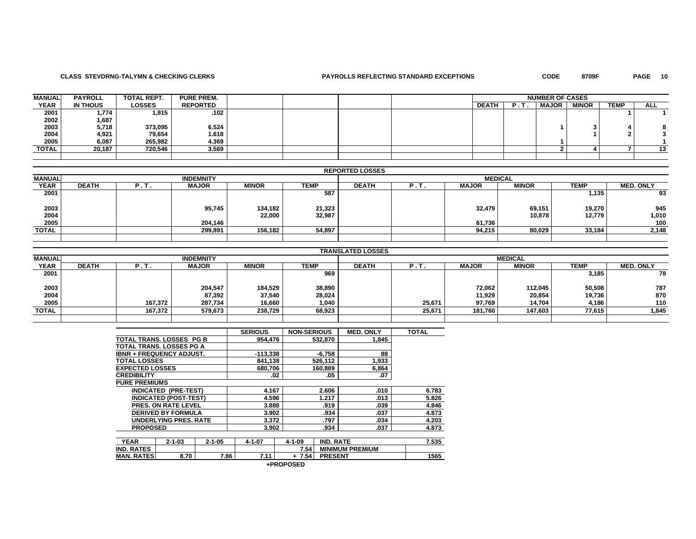# **CLASS STEVDRNG-TALYMN & CHECKING CLERKS PAYROLLS REFLECTING STANDARD EXCEPTIONS CODE 8709F PAGE 10**

PAGE 10

| <b>MANUAL</b> | <b>PAYROLL</b> | <b>TOTAL REPT.</b> | <b>PURE PREM.</b> |  |  | <b>NUMBER OF CASES</b> |  |              |              |             |            |
|---------------|----------------|--------------------|-------------------|--|--|------------------------|--|--------------|--------------|-------------|------------|
| <b>YEAR</b>   | IN THOUS       | <b>LOSSES</b>      | <b>REPORTED</b>   |  |  | <b>DEATH</b>           |  | <b>MAJOR</b> | <b>MINOR</b> | <b>TEMP</b> | <b>ALL</b> |
| 2001          | 1,774          | 1,815              | .102              |  |  |                        |  |              |              |             |            |
| 2002          | 1,687          |                    |                   |  |  |                        |  |              |              |             |            |
| 2003          | 5,718          | 373,095            | 6.524             |  |  |                        |  |              |              |             |            |
| 2004          | 4,921          | 79,654             | 1.618             |  |  |                        |  |              |              |             |            |
| 2005          | 6,087          | 265,982            | 4.369             |  |  |                        |  |              |              |             |            |
| TOTAL         | 20,187         | 720,546            | 3.569             |  |  |                        |  |              |              |             |            |
|               |                |                    |                   |  |  |                        |  |              |              |             |            |

|               | <b>REPORTED LOSSES</b> |      |                  |                   |                  |                |      |              |                  |                  |                  |  |
|---------------|------------------------|------|------------------|-------------------|------------------|----------------|------|--------------|------------------|------------------|------------------|--|
| <b>MANUAL</b> |                        |      | <b>INDEMNITY</b> |                   |                  | <b>MEDICAL</b> |      |              |                  |                  |                  |  |
| <b>YEAR</b>   | <b>DEATH</b>           | Р.Т. | <b>MAJOR</b>     | <b>MINOR</b>      | <b>TEMP</b>      | <b>DEATH</b>   | P.T. | <b>MAJOR</b> | <b>MINOR</b>     | <b>TEMP</b>      | <b>MED. ONLY</b> |  |
| 2001          |                        |      |                  |                   | 587              |                |      |              |                  | 1,135            | 93               |  |
| 2003<br>2004  |                        |      | 95,745           | 134,182<br>22,000 | 21,323<br>32,987 |                |      | 32,479       | 69,151<br>10,878 | 19,270<br>12,779 | 945<br>1,010     |  |
| 2005          |                        |      | 204,146          |                   |                  |                |      | 61,736       |                  |                  | 100              |  |
| <b>TOTAL</b>  |                        |      | 299,891          | 156,182           | 54,897           |                |      | 94,215       | 80,029           | 33,184           | 2,148            |  |
|               |                        |      |                  |                   |                  |                |      |              |                  |                  |                  |  |

|               | <b>TRANSLATED LOSSES</b> |         |                  |              |             |                |        |              |              |        |                  |  |
|---------------|--------------------------|---------|------------------|--------------|-------------|----------------|--------|--------------|--------------|--------|------------------|--|
| <b>MANUAL</b> |                          |         | <b>INDEMNITY</b> |              |             | <b>MEDICAL</b> |        |              |              |        |                  |  |
| <b>YEAR</b>   | <b>DEATH</b>             | P.T.    | <b>MAJOR</b>     | <b>MINOR</b> | <b>TEMP</b> | <b>DEATH</b>   | P. 1   | <b>MAJOR</b> | <b>MINOR</b> | TEMP   | <b>MED. ONLY</b> |  |
| 2001          |                          |         |                  |              | 969         |                |        |              |              | 3,185  | 78               |  |
| 2003          |                          |         | 204,547          | 184,529      | 38,890      |                |        | 72,062       | 112,045      | 50,508 | 787              |  |
| 2004          |                          |         | 87,392           | 37,540       | 28,024      |                |        | 11,929       | 20,854       | 19,736 | 870              |  |
| 2005          |                          | 167,372 | 287,734          | 16,660       | 1,040       |                | 25,671 | 97,769       | 14.704       | 4,186  | 110              |  |
| <b>TOTAL</b>  |                          | 167,372 | 579,673          | 238,729      | 68,923      |                | 25,671 | 181,760      | 147,603      | 77,615 | 1,845            |  |
|               |                          |         |                  |              |             |                |        |              |              |        |                  |  |

|                                 |                              |              | <b>SERIOUS</b> | <b>NON-SERIOUS</b> |                        | <b>MED. ONLY</b> | <b>TOTAL</b> |
|---------------------------------|------------------------------|--------------|----------------|--------------------|------------------------|------------------|--------------|
| TOTAL TRANS, LOSSES PG B        |                              |              | 954.476        |                    | 532,870                | 1.845            |              |
| TOTAL TRANS, LOSSES PG A        |                              |              |                |                    |                        |                  |              |
| <b>IBNR + FREQUENCY ADJUST.</b> |                              |              | $-113,338$     |                    | $-6.758$               | 88               |              |
| <b>TOTAL LOSSES</b>             |                              |              | 841,138        |                    | 526.112                | 1,933            |              |
| <b>EXPECTED LOSSES</b>          |                              |              | 680,706        |                    | 160,889                | 6,864            |              |
| <b>CREDIBILITY</b>              |                              |              | .02            |                    | .05                    | .07              |              |
| <b>PURE PREMIUMS</b>            |                              |              |                |                    |                        |                  |              |
|                                 | <b>INDICATED (PRE-TEST)</b>  |              | 4.167          |                    | 2.606                  | .010             | 6.783        |
|                                 | <b>INDICATED (POST-TEST)</b> |              | 4.596          |                    | 1.217                  | .013             | 5.826        |
|                                 | <b>PRES. ON RATE LEVEL</b>   |              | 3.888          |                    | .919                   | .039             | 4.846        |
|                                 | <b>DERIVED BY FORMULA</b>    |              | 3.902          |                    | .934                   | .037             | 4.873        |
|                                 | <b>UNDERLYING PRES, RATE</b> |              | 3.372          |                    | .797                   | .034             | 4.203        |
| <b>PROPOSED</b>                 |                              |              | 3.902          |                    | .934                   | .037             | 4.873        |
|                                 |                              |              |                |                    |                        |                  |              |
| <b>YEAR</b>                     | $2 - 1 - 03$                 | $2 - 1 - 05$ | $4 - 1 - 07$   | $4 - 1 - 09$       | <b>IND. RATE</b>       |                  | 7.535        |
| <b>IND. RATES</b>               |                              |              |                | 7.54               | <b>MINIMUM PREMIUM</b> |                  |              |
| <b>MAN. RATES</b>               | 8.70                         | 7.86         | 7.11           | $+7.54$            | <b>PRESENT</b>         |                  | 1565         |